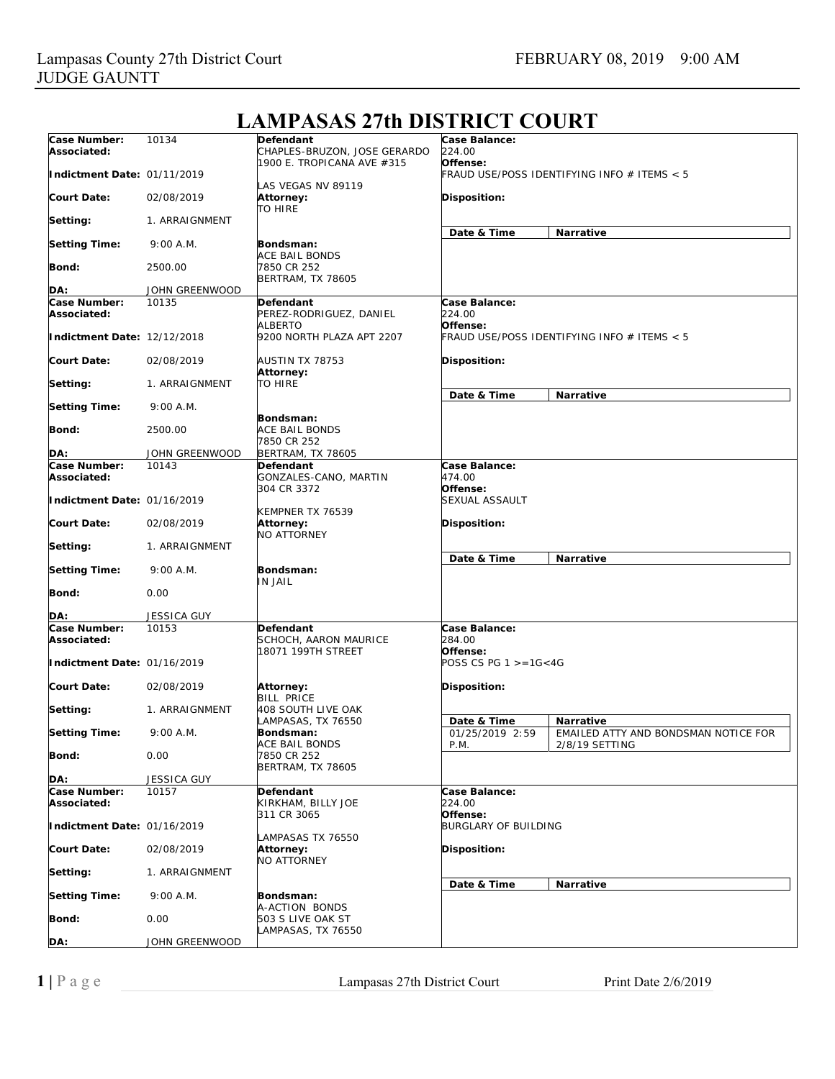| Case Number:<br>Associated: | 10134              | <b>Defendant</b><br>CHAPLES-BRUZON, JOSE GERARDO | Case Balance:<br>224.00                                 |                                                        |
|-----------------------------|--------------------|--------------------------------------------------|---------------------------------------------------------|--------------------------------------------------------|
| Indictment Date: 01/11/2019 |                    | 1900 E. TROPICANA AVE #315<br>LAS VEGAS NV 89119 | Offense:<br>FRAUD USE/POSS IDENTIFYING INFO # ITEMS < 5 |                                                        |
| <b>Court Date:</b>          | 02/08/2019         | Attorney:<br>TO HIRE                             | Disposition:                                            |                                                        |
| Setting:                    | 1. ARRAIGNMENT     |                                                  | Date & Time                                             | Narrative                                              |
| <b>Setting Time:</b>        | 9:00 A.M.          | Bondsman:<br>ACE BAIL BONDS                      |                                                         |                                                        |
| Bond:                       | 2500.00            | 7850 CR 252<br><b>BERTRAM, TX 78605</b>          |                                                         |                                                        |
| DA:                         | JOHN GREENWOOD     |                                                  |                                                         |                                                        |
| Case Number:<br>Associated: | 10135              | Defendant<br>PEREZ-RODRIGUEZ, DANIEL<br>ALBERTO  | Case Balance:<br>224.00<br>Offense:                     |                                                        |
| Indictment Date: 12/12/2018 |                    | 9200 NORTH PLAZA APT 2207                        | FRAUD USE/POSS IDENTIFYING INFO # ITEMS < 5             |                                                        |
| <b>Court Date:</b>          | 02/08/2019         | AUSTIN TX 78753<br>Attorney:                     | Disposition:                                            |                                                        |
| Setting:                    | 1. ARRAIGNMENT     | TO HIRE                                          | Date & Time                                             | Narrative                                              |
| <b>Setting Time:</b>        | 9:00 A.M.          | Bondsman:                                        |                                                         |                                                        |
| Bond:                       | 2500.00            | ACE BAIL BONDS<br>7850 CR 252                    |                                                         |                                                        |
| DA:                         | JOHN GREENWOOD     | <b>BERTRAM, TX 78605</b>                         |                                                         |                                                        |
| Case Number:<br>Associated: | 10143              | Defendant<br>GONZALES-CANO, MARTIN               | Case Balance:<br>474.00                                 |                                                        |
| Indictment Date: 01/16/2019 |                    | 304 CR 3372<br>KEMPNER TX 76539                  | Offense:<br><b>SEXUAL ASSAULT</b>                       |                                                        |
| <b>Court Date:</b>          | 02/08/2019         | Attorney:<br><b>NO ATTORNEY</b>                  | Disposition:                                            |                                                        |
| Setting:                    | 1. ARRAIGNMENT     |                                                  | Date & Time                                             | Narrative                                              |
| <b>Setting Time:</b>        | 9:00 A.M.          | Bondsman:<br>IN JAIL                             |                                                         |                                                        |
| Bond:                       | 0.00               |                                                  |                                                         |                                                        |
| DA:                         | <b>JESSICA GUY</b> |                                                  |                                                         |                                                        |
| Case Number:<br>Associated: | 10153              | Defendant<br>SCHOCH, AARON MAURICE               | Case Balance:<br>284.00                                 |                                                        |
| Indictment Date: 01/16/2019 |                    | 18071 199TH STREET                               | Offense:<br>POSS CS PG $1 > = 16 < 4G$                  |                                                        |
| <b>Court Date:</b>          | 02/08/2019         | Attorney:<br><b>BILL PRICE</b>                   | Disposition:                                            |                                                        |
| Setting:                    | 1. ARRAIGNMENT     | 408 SOUTH LIVE OAK<br>LAMPASAS, TX 76550         | Date & Time                                             | <b>Narrative</b>                                       |
| <b>Setting Time:</b>        | 9:00 A.M.          | Bondsman:<br>ACE BAIL BONDS                      | 01/25/2019 2:59<br>P.M.                                 | EMAILED ATTY AND BONDSMAN NOTICE FOR<br>2/8/19 SETTING |
| Bond:                       | 0.00               | 7850 CR 252<br><b>BERTRAM, TX 78605</b>          |                                                         |                                                        |
| DA:                         | JESSICA GUY        |                                                  |                                                         |                                                        |
| Case Number:<br>Associated: | 10157              | Defendant<br>KIRKHAM, BILLY JOE                  | Case Balance:<br>224.00                                 |                                                        |
| Indictment Date: 01/16/2019 |                    | 311 CR 3065                                      | Offense:<br><b>BURGLARY OF BUILDING</b>                 |                                                        |
| <b>Court Date:</b>          | 02/08/2019         | LAMPASAS TX 76550<br>Attorney:<br>NO ATTORNEY    | Disposition:                                            |                                                        |
| Setting:                    | 1. ARRAIGNMENT     |                                                  |                                                         |                                                        |
| <b>Setting Time:</b>        | 9:00 A.M.          | Bondsman:<br>A-ACTION BONDS                      | Date & Time                                             | Narrative                                              |
| Bond:                       | 0.00               | 503 S LIVE OAK ST<br>LAMPASAS, TX 76550          |                                                         |                                                        |
| DA:                         | JOHN GREENWOOD     |                                                  |                                                         |                                                        |

# **LAMPASAS 27th DISTRICT COURT**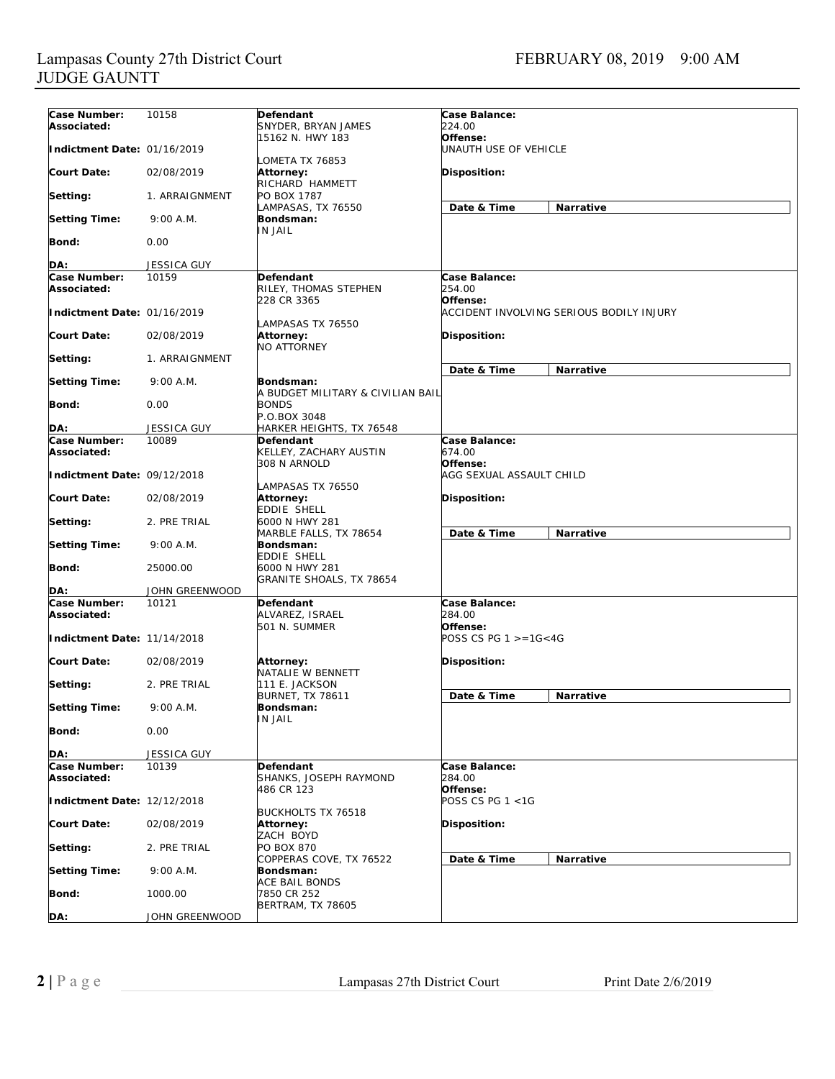| Case Number:                | 10158                   | Defendant                              | Case Balance:              |                                          |
|-----------------------------|-------------------------|----------------------------------------|----------------------------|------------------------------------------|
| Associated:                 |                         | SNYDER, BRYAN JAMES                    | 224.00                     |                                          |
| Indictment Date: 01/16/2019 |                         | 15162 N. HWY 183                       | Offense:                   |                                          |
|                             |                         | LOMETA TX 76853                        | UNAUTH USE OF VEHICLE      |                                          |
| <b>Court Date:</b>          | 02/08/2019              | Attorney:                              | Disposition:               |                                          |
|                             |                         | RICHARD HAMMETT                        |                            |                                          |
| Setting:                    | 1. ARRAIGNMENT          | PO BOX 1787                            |                            |                                          |
|                             |                         | LAMPASAS, TX 76550                     | Date & Time                | Narrative                                |
| <b>Setting Time:</b>        | 9:00 A.M.               | Bondsman:<br><b>IN JAIL</b>            |                            |                                          |
| Bond:                       | 0.00                    |                                        |                            |                                          |
|                             |                         |                                        |                            |                                          |
| DA:                         | <b>JESSICA GUY</b>      |                                        |                            |                                          |
| Case Number:                | 10159                   | <b>Defendant</b>                       | Case Balance:              |                                          |
| Associated:                 |                         | RILEY, THOMAS STEPHEN<br>228 CR 3365   | 254.00<br>Offense:         |                                          |
| Indictment Date: 01/16/2019 |                         |                                        |                            | ACCIDENT INVOLVING SERIOUS BODILY INJURY |
|                             |                         | LAMPASAS TX 76550                      |                            |                                          |
| <b>Court Date:</b>          | 02/08/2019              | Attorney:                              | Disposition:               |                                          |
|                             |                         | <b>NO ATTORNEY</b>                     |                            |                                          |
| Setting:                    | 1. ARRAIGNMENT          |                                        |                            |                                          |
| <b>Setting Time:</b>        | 9:00 A.M.               | Bondsman:                              | Date & Time                | Narrative                                |
|                             |                         | A BUDGET MILITARY & CIVILIAN BAIL      |                            |                                          |
| Bond:                       | 0.00                    | <b>BONDS</b>                           |                            |                                          |
|                             |                         | P.O.BOX 3048                           |                            |                                          |
| DA:                         | <b>JESSICA GUY</b>      | HARKER HEIGHTS, TX 76548               |                            |                                          |
| Case Number:<br>Associated: | 10089                   | Defendant<br>KELLEY, ZACHARY AUSTIN    | Case Balance:<br>674.00    |                                          |
|                             |                         | 308 N ARNOLD                           | Offense:                   |                                          |
| Indictment Date: 09/12/2018 |                         |                                        | AGG SEXUAL ASSAULT CHILD   |                                          |
|                             |                         | LAMPASAS TX 76550                      |                            |                                          |
| Court Date:                 | 02/08/2019              | Attorney:                              | Disposition:               |                                          |
| Setting:                    | 2. PRE TRIAL            | EDDIE SHELL<br>6000 N HWY 281          |                            |                                          |
|                             |                         | MARBLE FALLS, TX 78654                 | Date & Time                | <b>Narrative</b>                         |
| <b>Setting Time:</b>        | 9:00 A.M.               | Bondsman:                              |                            |                                          |
|                             |                         | EDDIE SHELL                            |                            |                                          |
| Bond:                       | 25000.00                | 6000 N HWY 281                         |                            |                                          |
|                             |                         | GRANITE SHOALS, TX 78654               |                            |                                          |
| DA:<br>Case Number:         | JOHN GREENWOOD<br>10121 | Defendant                              | Case Balance:              |                                          |
| Associated:                 |                         | ALVAREZ, ISRAEL                        | 284.00                     |                                          |
|                             |                         | 501 N. SUMMER                          | Offense:                   |                                          |
| Indictment Date: 11/14/2018 |                         |                                        | POSS CS PG $1 > = 16 < 4G$ |                                          |
|                             |                         |                                        |                            |                                          |
| Court Date:                 | 02/08/2019              | Attorney:<br>NATALIE W BENNETT         | Disposition:               |                                          |
| Setting:                    | 2. PRE TRIAL            | 111 E. JACKSON                         |                            |                                          |
|                             |                         | <b>BURNET, TX 78611</b>                | Date & Time                | <b>Narrative</b>                         |
| <b>Setting Time:</b>        | 9:00 A.M.               | Bondsman:                              |                            |                                          |
|                             |                         | <b>IN JAIL</b>                         |                            |                                          |
| Bond:                       | 0.00                    |                                        |                            |                                          |
| DA:                         | <b>JESSICA GUY</b>      |                                        |                            |                                          |
| Case Number:                | 10139                   | <b>Defendant</b>                       | Case Balance:              |                                          |
| Associated:                 |                         | SHANKS, JOSEPH RAYMOND                 | 284.00                     |                                          |
|                             |                         | 486 CR 123                             | Offense:                   |                                          |
| Indictment Date: 12/12/2018 |                         |                                        | POSS CS PG 1 <1G           |                                          |
| <b>Court Date:</b>          | 02/08/2019              | <b>BUCKHOLTS TX 76518</b><br>Attorney: | Disposition:               |                                          |
|                             |                         | ZACH BOYD                              |                            |                                          |
| Setting:                    | 2. PRE TRIAL            | PO BOX 870                             |                            |                                          |
|                             |                         | COPPERAS COVE, TX 76522                | Date & Time                | Narrative                                |
| <b>Setting Time:</b>        | 9:00 A.M.               | Bondsman:                              |                            |                                          |
| Bond:                       | 1000.00                 | ACE BAIL BONDS<br>7850 CR 252          |                            |                                          |
|                             |                         | BERTRAM, TX 78605                      |                            |                                          |
| DA:                         | JOHN GREENWOOD          |                                        |                            |                                          |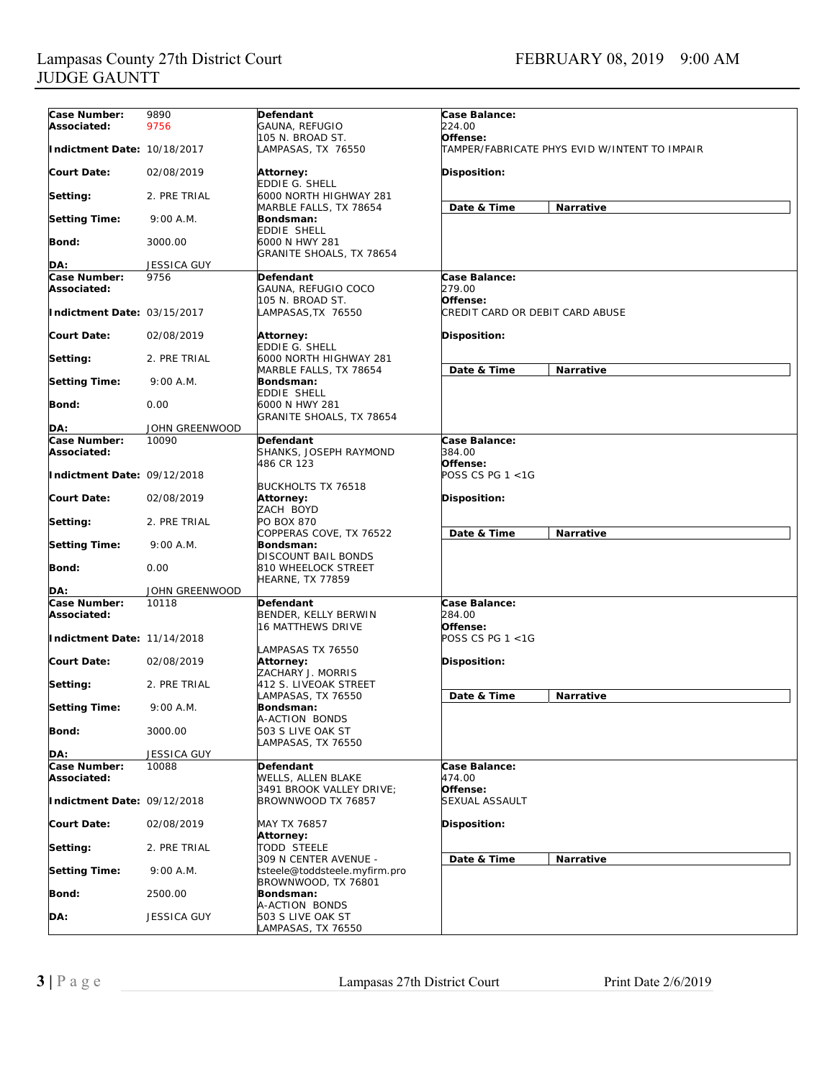| Case Number:                | 9890               | Defendant                                            | Case Balance:                                 |  |
|-----------------------------|--------------------|------------------------------------------------------|-----------------------------------------------|--|
| Associated:                 | 9756               | GAUNA, REFUGIO                                       | 224.00                                        |  |
|                             |                    | 105 N. BROAD ST.                                     | Offense:                                      |  |
| Indictment Date: 10/18/2017 |                    | LAMPASAS, TX 76550                                   | TAMPER/FABRICATE PHYS EVID W/INTENT TO IMPAIR |  |
| <b>Court Date:</b>          | 02/08/2019         | Attorney:<br><b>EDDIE G. SHELL</b>                   | <b>Disposition:</b>                           |  |
| Setting:                    | 2. PRE TRIAL       | 6000 NORTH HIGHWAY 281<br>MARBLE FALLS, TX 78654     | Date & Time<br>Narrative                      |  |
| <b>Setting Time:</b>        | 9:00 A.M.          | Bondsman:<br>EDDIE SHELL                             |                                               |  |
| Bond:                       | 3000.00            | 6000 N HWY 281<br>GRANITE SHOALS, TX 78654           |                                               |  |
| DA:                         | JESSICA GUY        |                                                      |                                               |  |
| Case Number:                | 9756               | Defendant                                            | Case Balance:                                 |  |
| Associated:                 |                    | GAUNA, REFUGIO COCO                                  | 279.00                                        |  |
| Indictment Date: 03/15/2017 |                    | 105 N. BROAD ST.<br>LAMPASAS,TX 76550                | Offense:<br>CREDIT CARD OR DEBIT CARD ABUSE   |  |
| <b>Court Date:</b>          | 02/08/2019         | Attorney:<br>EDDIE G. SHELL                          | <b>Disposition:</b>                           |  |
| Setting:                    | 2. PRE TRIAL       | 6000 NORTH HIGHWAY 281<br>MARBLE FALLS, TX 78654     | Date & Time<br>Narrative                      |  |
| <b>Setting Time:</b>        | 9:00 A.M.          | Bondsman:<br><b>EDDIE SHELL</b>                      |                                               |  |
| Bond:                       | 0.00               | 6000 N HWY 281<br>GRANITE SHOALS, TX 78654           |                                               |  |
| DA:                         | JOHN GREENWOOD     |                                                      |                                               |  |
| Case Number:                | 10090              | <b>Defendant</b>                                     | Case Balance:                                 |  |
| Associated:                 |                    | SHANKS, JOSEPH RAYMOND<br>486 CR 123                 | 384.00<br>Offense:                            |  |
| Indictment Date: 09/12/2018 |                    | <b>BUCKHOLTS TX 76518</b>                            | POSS CS PG 1 <1G                              |  |
| <b>Court Date:</b>          | 02/08/2019         | Attorney:<br>ZACH BOYD                               | <b>Disposition:</b>                           |  |
| Setting:                    | 2. PRE TRIAL       | PO BOX 870<br>COPPERAS COVE, TX 76522                | Date & Time<br><b>Narrative</b>               |  |
| <b>Setting Time:</b>        | 9:00 A.M.          | Bondsman:<br>DISCOUNT BAIL BONDS                     |                                               |  |
| Bond:                       | 0.00               | 810 WHEELOCK STREET<br><b>HEARNE, TX 77859</b>       |                                               |  |
| DA:                         | JOHN GREENWOOD     |                                                      |                                               |  |
| Case Number:                | 10118              | Defendant                                            | Case Balance:                                 |  |
| Associated:                 |                    | BENDER, KELLY BERWIN<br><b>16 MATTHEWS DRIVE</b>     | 284.00<br>Offense:                            |  |
| Indictment Date: 11/14/2018 |                    | LAMPASAS TX 76550                                    | POSS CS PG 1 <1G                              |  |
| <b>Court Date:</b>          | 02/08/2019         | Attorney:<br>ZACHARY J. MORRIS                       | Disposition:                                  |  |
| Setting:                    | 2. PRE TRIAL       | 412 S. LIVEOAK STREET<br>LAMPASAS, TX 76550          | Date & Time<br>Narrative                      |  |
| <b>Setting Time:</b>        | 9:00 A.M.          | Bondsman:<br>A-ACTION BONDS                          |                                               |  |
| Bond:                       | 3000.00            | 503 S LIVE OAK ST<br>LAMPASAS, TX 76550              |                                               |  |
| DA:                         | JESSICA GUY        |                                                      |                                               |  |
| Case Number:<br>Associated: | 10088              | Defendant<br>WELLS, ALLEN BLAKE                      | Case Balance:<br>474.00                       |  |
| Indictment Date: 09/12/2018 |                    | 3491 BROOK VALLEY DRIVE;<br>BROWNWOOD TX 76857       | Offense:<br>SEXUAL ASSAULT                    |  |
| <b>Court Date:</b>          | 02/08/2019         | MAY TX 76857<br>Attorney:                            | Disposition:                                  |  |
| Setting:                    | 2. PRE TRIAL       | <b>TODD STEELE</b><br>309 N CENTER AVENUE -          | Date & Time<br>Narrative                      |  |
| <b>Setting Time:</b>        | 9:00 A.M.          | tsteele@toddsteele.myfirm.pro<br>BROWNWOOD, TX 76801 |                                               |  |
| Bond:                       | 2500.00            | Bondsman:<br>A-ACTION BONDS                          |                                               |  |
| DA:                         | <b>JESSICA GUY</b> | 503 S LIVE OAK ST<br>AMPASAS, TX 76550               |                                               |  |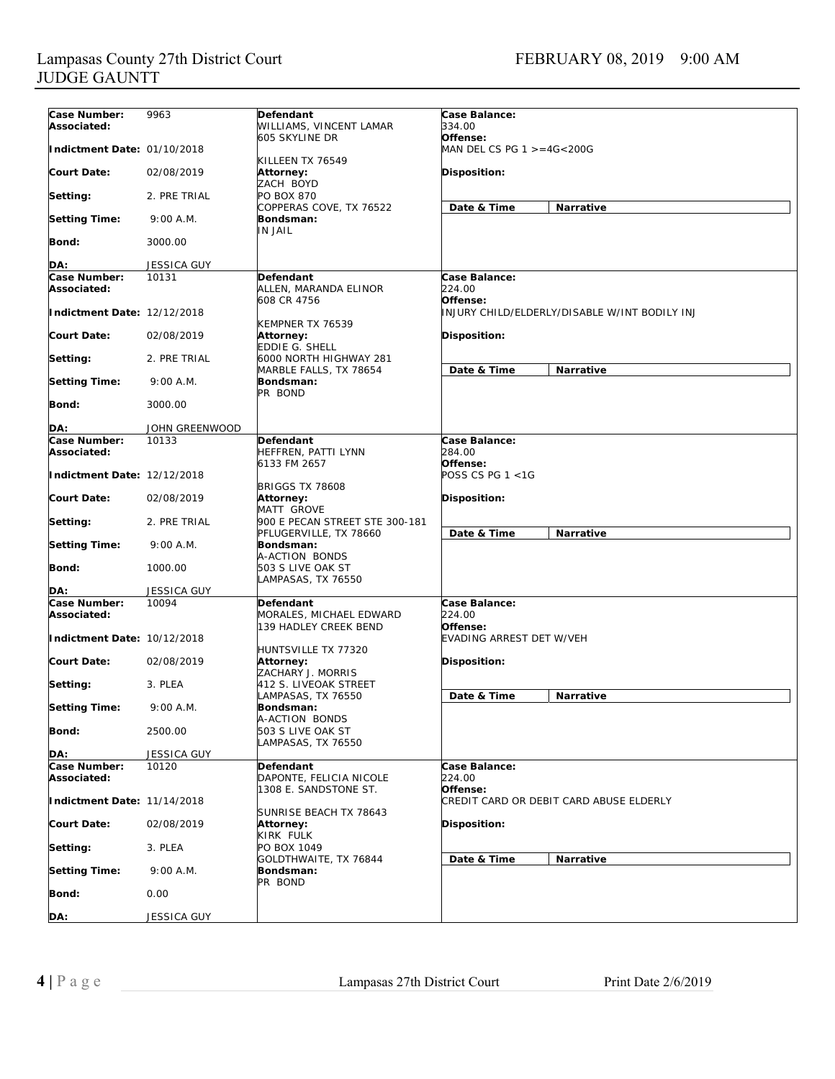| Case Number:                | 9963               | Defendant                           | Case Balance:                                 |  |
|-----------------------------|--------------------|-------------------------------------|-----------------------------------------------|--|
| Associated:                 |                    | WILLIAMS, VINCENT LAMAR             | 334.00                                        |  |
|                             |                    | 605 SKYLINE DR                      | Offense:                                      |  |
| Indictment Date: 01/10/2018 |                    | KILLEEN TX 76549                    | MAN DEL CS PG $1 > = 4G < 200G$               |  |
| Court Date:                 | 02/08/2019         | Attorney:                           | Disposition:                                  |  |
|                             |                    | ZACH BOYD                           |                                               |  |
| Setting:                    | 2. PRE TRIAL       | <b>PO BOX 870</b>                   |                                               |  |
|                             |                    | COPPERAS COVE, TX 76522             | Narrative<br>Date & Time                      |  |
| <b>Setting Time:</b>        | 9:00 A.M.          | Bondsman:                           |                                               |  |
|                             |                    | IN JAIL                             |                                               |  |
| Bond:                       | 3000.00            |                                     |                                               |  |
| DA:                         | <b>JESSICA GUY</b> |                                     |                                               |  |
| Case Number:                | 10131              | Defendant                           | Case Balance:                                 |  |
| Associated:                 |                    | ALLEN, MARANDA ELINOR               | 224.00                                        |  |
|                             |                    | 608 CR 4756                         | Offense:                                      |  |
| Indictment Date: 12/12/2018 |                    |                                     | INJURY CHILD/ELDERLY/DISABLE W/INT BODILY INJ |  |
|                             |                    | KEMPNER TX 76539                    |                                               |  |
| <b>Court Date:</b>          | 02/08/2019         | Attorney:                           | Disposition:                                  |  |
|                             |                    | EDDIE G. SHELL                      |                                               |  |
| Setting:                    | 2. PRE TRIAL       | 6000 NORTH HIGHWAY 281              |                                               |  |
| <b>Setting Time:</b>        | 9:00 A.M.          | MARBLE FALLS, TX 78654<br>Bondsman: | Narrative<br>Date & Time                      |  |
|                             |                    | PR BOND                             |                                               |  |
| Bond:                       | 3000.00            |                                     |                                               |  |
|                             |                    |                                     |                                               |  |
| DA:                         | JOHN GREENWOOD     |                                     |                                               |  |
| Case Number:                | 10133              | <b>Defendant</b>                    | Case Balance:                                 |  |
| Associated:                 |                    | <b>HEFFREN, PATTI LYNN</b>          | 284.00                                        |  |
| Indictment Date: 12/12/2018 |                    | 6133 FM 2657                        | Offense:<br>POSS CS PG $1 < 1$ G              |  |
|                             |                    | <b>BRIGGS TX 78608</b>              |                                               |  |
| <b>Court Date:</b>          | 02/08/2019         | Attorney:                           | Disposition:                                  |  |
|                             |                    | <b>MATT GROVE</b>                   |                                               |  |
| Setting:                    | 2. PRE TRIAL       | 900 E PECAN STREET STE 300-181      |                                               |  |
|                             |                    | PFLUGERVILLE, TX 78660              | Date & Time<br><b>Narrative</b>               |  |
| <b>Setting Time:</b>        | $9:00$ A.M.        | Bondsman:                           |                                               |  |
|                             |                    | A-ACTION BONDS                      |                                               |  |
| Bond:                       | 1000.00            | 503 S LIVE OAK ST                   |                                               |  |
| DA:                         | <b>JESSICA GUY</b> | LAMPASAS, TX 76550                  |                                               |  |
| Case Number:                | 10094              | Defendant                           | Case Balance:                                 |  |
| Associated:                 |                    | MORALES, MICHAEL EDWARD             | 224.00                                        |  |
|                             |                    | 139 HADLEY CREEK BEND               | Offense:                                      |  |
| Indictment Date: 10/12/2018 |                    |                                     | <b>EVADING ARREST DET W/VEH</b>               |  |
|                             |                    | HUNTSVILLE TX 77320                 |                                               |  |
| <b>Court Date:</b>          | 02/08/2019         | Attorney:                           | Disposition:                                  |  |
|                             |                    | ZACHARY J. MORRIS                   |                                               |  |
| Setting:                    | 3. PLEA            | 412 S. LIVEOAK STREET               | Date & Time<br><b>Narrative</b>               |  |
| <b>Setting Time:</b>        | 9:00 A.M.          | LAMPASAS, TX 76550<br>Bondsman:     |                                               |  |
|                             |                    | A-ACTION BONDS                      |                                               |  |
| <b>Bond:</b>                | 2500.00            | 503 S LIVE OAK ST                   |                                               |  |
|                             |                    | LAMPASAS, TX 76550                  |                                               |  |
| DA:                         | <b>JESSICA GUY</b> |                                     |                                               |  |
| Case Number:                | 10120              | Defendant                           | Case Balance:                                 |  |
| Associated:                 |                    | DAPONTE, FELICIA NICOLE             | 224.00                                        |  |
|                             |                    | 1308 E. SANDSTONE ST.               | Offense:                                      |  |
| Indictment Date: 11/14/2018 |                    | SUNRISE BEACH TX 78643              | CREDIT CARD OR DEBIT CARD ABUSE ELDERLY       |  |
| Court Date:                 | 02/08/2019         | Attorney:                           | Disposition:                                  |  |
|                             |                    | KIRK FULK                           |                                               |  |
| Setting:                    | 3. PLEA            | PO BOX 1049                         |                                               |  |
|                             |                    | GOLDTHWAITE, TX 76844               | Date & Time<br>Narrative                      |  |
| <b>Setting Time:</b>        | 9:00 A.M.          | Bondsman:                           |                                               |  |
|                             |                    | PR BOND                             |                                               |  |
| Bond:                       | 0.00               |                                     |                                               |  |
| DA:                         | JESSICA GUY        |                                     |                                               |  |
|                             |                    |                                     |                                               |  |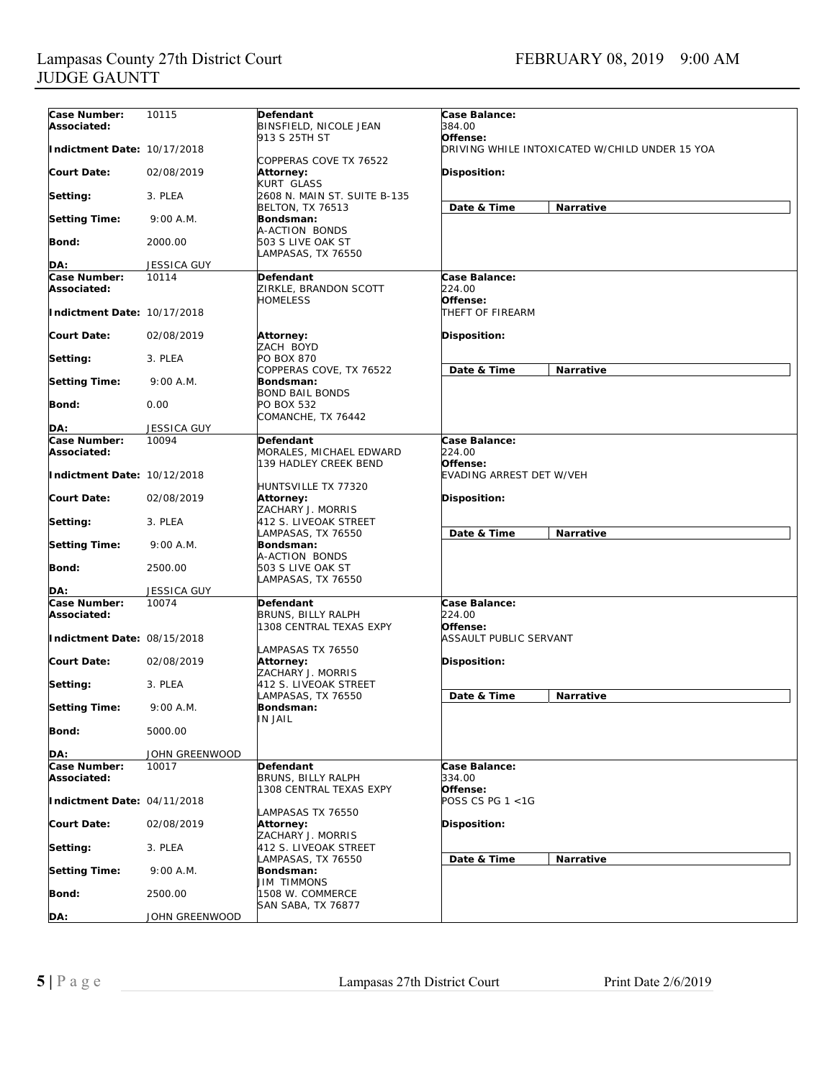| Case Number:                | 10115              | Defendant                                   | Case Balance:                                  |  |
|-----------------------------|--------------------|---------------------------------------------|------------------------------------------------|--|
| Associated:                 |                    | BINSFIELD, NICOLE JEAN                      | 384.00                                         |  |
|                             |                    | 913 S 25TH ST                               | Offense:                                       |  |
| Indictment Date: 10/17/2018 |                    |                                             | DRIVING WHILE INTOXICATED W/CHILD UNDER 15 YOA |  |
|                             |                    | COPPERAS COVE TX 76522                      |                                                |  |
| <b>Court Date:</b>          | 02/08/2019         | Attorney:                                   | Disposition:                                   |  |
|                             |                    | KURT GLASS                                  |                                                |  |
| Setting:                    | 3. PLEA            | 2608 N. MAIN ST. SUITE B-135                |                                                |  |
|                             |                    | <b>BELTON, TX 76513</b>                     | Date & Time<br>Narrative                       |  |
| <b>Setting Time:</b>        | 9:00 A.M.          | Bondsman:                                   |                                                |  |
|                             |                    | A-ACTION BONDS                              |                                                |  |
| <b>Bond:</b>                | 2000.00            | 503 S LIVE OAK ST                           |                                                |  |
|                             |                    | LAMPASAS, TX 76550                          |                                                |  |
| DA:                         | <b>JESSICA GUY</b> |                                             |                                                |  |
| Case Number:                | 10114              | Defendant                                   | Case Balance:                                  |  |
| Associated:                 |                    | ZIRKLE, BRANDON SCOTT                       | 224.00                                         |  |
|                             |                    | <b>HOMELESS</b>                             | Offense:                                       |  |
| Indictment Date: 10/17/2018 |                    |                                             | THEFT OF FIREARM                               |  |
|                             |                    |                                             |                                                |  |
| <b>Court Date:</b>          | 02/08/2019         | Attorney:                                   | Disposition:                                   |  |
|                             |                    | ZACH BOYD                                   |                                                |  |
| Setting:                    | 3. PLEA            | PO BOX 870                                  |                                                |  |
|                             |                    | COPPERAS COVE, TX 76522                     | Date & Time<br><b>Narrative</b>                |  |
| <b>Setting Time:</b>        | 9:00 A.M.          | Bondsman:                                   |                                                |  |
|                             |                    | <b>BOND BAIL BONDS</b>                      |                                                |  |
| Bond:                       | 0.00               | PO BOX 532                                  |                                                |  |
|                             |                    | COMANCHE, TX 76442                          |                                                |  |
| DA:                         | <b>JESSICA GUY</b> |                                             |                                                |  |
| Case Number:                | 10094              | Defendant                                   | Case Balance:                                  |  |
| Associated:                 |                    | MORALES, MICHAEL EDWARD                     | 224.00                                         |  |
|                             |                    | 139 HADLEY CREEK BEND                       | Offense:                                       |  |
| Indictment Date: 10/12/2018 |                    |                                             | EVADING ARREST DET W/VEH                       |  |
|                             |                    | HUNTSVILLE TX 77320                         |                                                |  |
| <b>Court Date:</b>          | 02/08/2019         | Attorney:                                   | Disposition:                                   |  |
|                             |                    | ZACHARY J. MORRIS                           |                                                |  |
| Setting:                    | 3. PLEA            | 412 S. LIVEOAK STREET                       |                                                |  |
|                             |                    | LAMPASAS, TX 76550                          | Date & Time<br>Narrative                       |  |
| <b>Setting Time:</b>        | 9:00 A.M.          | Bondsman:                                   |                                                |  |
|                             |                    | A-ACTION BONDS                              |                                                |  |
| <b>Bond:</b>                | 2500.00            | 503 S LIVE OAK ST                           |                                                |  |
|                             |                    | LAMPASAS, TX 76550                          |                                                |  |
| DA:                         | <b>JESSICA GUY</b> |                                             |                                                |  |
| Case Number:                | 10074              | <b>Defendant</b>                            | Case Balance:                                  |  |
| Associated:                 |                    | BRUNS, BILLY RALPH                          | 224.00                                         |  |
|                             |                    | 1308 CENTRAL TEXAS EXPY                     | Offense:                                       |  |
| Indictment Date: 08/15/2018 |                    |                                             | ASSAULT PUBLIC SERVANT                         |  |
|                             |                    | LAMPASAS TX 76550                           |                                                |  |
| <b>Court Date:</b>          | 02/08/2019         | Attorney:                                   | Disposition:                                   |  |
|                             |                    | ZACHARY J. MORRIS                           |                                                |  |
| Setting:                    | 3. PLEA            | 412 S. LIVEOAK STREET                       |                                                |  |
|                             |                    | LAMPASAS, TX 76550                          | Date & Time<br>Narrative                       |  |
| <b>Setting Time:</b>        | 9:00 A.M.          | Bondsman:                                   |                                                |  |
|                             |                    | IN JAIL                                     |                                                |  |
| <b>Bond:</b>                | 5000.00            |                                             |                                                |  |
|                             |                    |                                             |                                                |  |
| DA:                         | JOHN GREENWOOD     |                                             |                                                |  |
| Case Number:                | 10017              | Defendant                                   | Case Balance:                                  |  |
| Associated:                 |                    | BRUNS, BILLY RALPH                          | 334.00                                         |  |
|                             |                    | 1308 CENTRAL TEXAS EXPY                     | Offense:                                       |  |
| Indictment Date: 04/11/2018 |                    |                                             | POSS CS PG 1 <1G                               |  |
|                             |                    | LAMPASAS TX 76550                           |                                                |  |
| <b>Court Date:</b>          | 02/08/2019         | Attorney:                                   | Disposition:                                   |  |
|                             |                    | ZACHARY J. MORRIS                           |                                                |  |
| Setting:                    | 3. PLEA            | 412 S. LIVEOAK STREET<br>LAMPASAS, TX 76550 |                                                |  |
|                             |                    | Bondsman:                                   | Date & Time<br>Narrative                       |  |
| <b>Setting Time:</b>        | 9:00 A.M.          | <b>JIM TIMMONS</b>                          |                                                |  |
| <b>Bond:</b>                | 2500.00            | 1508 W. COMMERCE                            |                                                |  |
|                             |                    | SAN SABA, TX 76877                          |                                                |  |
| DA:                         | JOHN GREENWOOD     |                                             |                                                |  |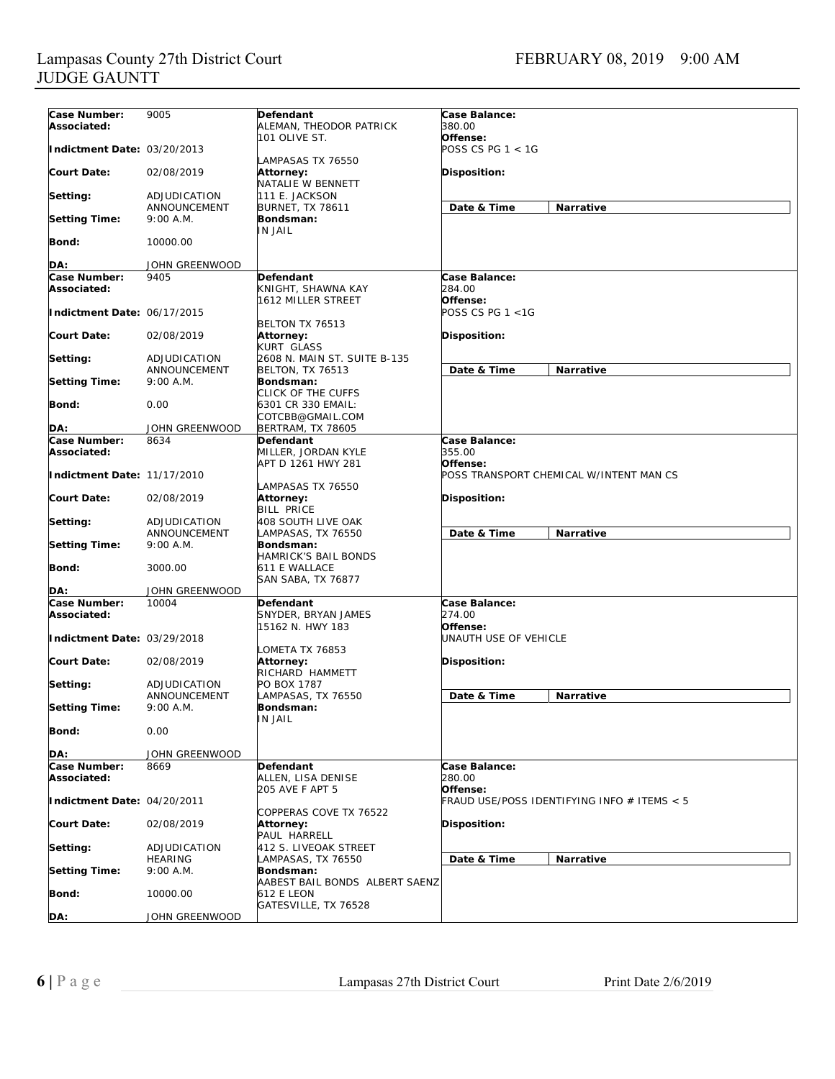| Case Number:                | 9005                      | Defendant                                | Case Balance:                               |  |
|-----------------------------|---------------------------|------------------------------------------|---------------------------------------------|--|
| Associated:                 |                           | ALEMAN, THEODOR PATRICK                  | 380.00                                      |  |
|                             |                           | 101 OLIVE ST.                            | Offense:                                    |  |
| Indictment Date: 03/20/2013 |                           |                                          | POSS CS PG $1 < 1$ G                        |  |
|                             |                           | LAMPASAS TX 76550                        |                                             |  |
| Court Date:                 | 02/08/2019                | Attorney:                                | Disposition:                                |  |
|                             |                           | NATALIE W BENNETT                        |                                             |  |
| Setting:                    | ADJUDICATION              | 111 E. JACKSON                           |                                             |  |
| <b>Setting Time:</b>        | ANNOUNCEMENT<br>9:00 A.M. | <b>BURNET, TX 78611</b><br>Bondsman:     | Date & Time<br><b>Narrative</b>             |  |
|                             |                           | <b>IN JAIL</b>                           |                                             |  |
| Bond:                       | 10000.00                  |                                          |                                             |  |
|                             |                           |                                          |                                             |  |
| DA:                         | JOHN GREENWOOD            |                                          |                                             |  |
| Case Number:                | 9405                      | <b>Defendant</b>                         | <b>Case Balance:</b>                        |  |
| Associated:                 |                           | KNIGHT, SHAWNA KAY                       | 284.00                                      |  |
|                             |                           | 1612 MILLER STREET                       | Offense:                                    |  |
| Indictment Date: 06/17/2015 |                           |                                          | POSS CS PG $1 < 1G$                         |  |
|                             |                           | BELTON TX 76513                          |                                             |  |
| <b>Court Date:</b>          | 02/08/2019                | Attorney:                                | Disposition:                                |  |
|                             |                           | KURT GLASS                               |                                             |  |
| Setting:                    | ADJUDICATION              | 2608 N. MAIN ST. SUITE B-135             |                                             |  |
|                             | ANNOUNCEMENT              | <b>BELTON, TX 76513</b>                  | Date & Time<br><b>Narrative</b>             |  |
| <b>Setting Time:</b>        | 9:00 A.M.                 | Bondsman:                                |                                             |  |
|                             |                           | CLICK OF THE CUFFS<br>6301 CR 330 EMAIL: |                                             |  |
| Bond:                       | 0.00                      | COTCBB@GMAIL.COM                         |                                             |  |
| DA:                         | JOHN GREENWOOD            | <b>BERTRAM, TX 78605</b>                 |                                             |  |
| Case Number:                | 8634                      | <b>Defendant</b>                         | Case Balance:                               |  |
| Associated:                 |                           | MILLER, JORDAN KYLE                      | 355.00                                      |  |
|                             |                           | APT D 1261 HWY 281                       | Offense:                                    |  |
| Indictment Date: 11/17/2010 |                           |                                          | POSS TRANSPORT CHEMICAL W/INTENT MAN CS     |  |
|                             |                           | LAMPASAS TX 76550                        |                                             |  |
| Court Date:                 | 02/08/2019                | Attorney:                                | Disposition:                                |  |
|                             |                           | <b>BILL PRICE</b>                        |                                             |  |
| Setting:                    | ADJUDICATION              | 408 SOUTH LIVE OAK                       |                                             |  |
|                             | ANNOUNCEMENT              | LAMPASAS, TX 76550                       | Date & Time<br><b>Narrative</b>             |  |
| <b>Setting Time:</b>        | 9:00 A.M.                 | Bondsman:                                |                                             |  |
|                             |                           | HAMRICK'S BAIL BONDS                     |                                             |  |
| Bond:                       | 3000.00                   | 611 E WALLACE                            |                                             |  |
| DA:                         | JOHN GREENWOOD            | SAN SABA, TX 76877                       |                                             |  |
| Case Number:                | 10004                     | Defendant                                | Case Balance:                               |  |
| Associated:                 |                           | SNYDER, BRYAN JAMES                      | 274.00                                      |  |
|                             |                           | 15162 N. HWY 183                         | Offense:                                    |  |
| Indictment Date: 03/29/2018 |                           |                                          | UNAUTH USE OF VEHICLE                       |  |
|                             |                           | LOMETA TX 76853                          |                                             |  |
| Court Date:                 | 02/08/2019                | Attorney:                                | Disposition:                                |  |
|                             |                           | RICHARD HAMMETT                          |                                             |  |
| Setting:                    | ADJUDICATION              | PO BOX 1787                              |                                             |  |
|                             | ANNOUNCEMENT              | LAMPASAS, TX 76550                       | Date & Time<br><b>Narrative</b>             |  |
| <b>Setting Time:</b>        | 9:00 A.M.                 | Bonasman:                                |                                             |  |
|                             |                           | <b>IN JAIL</b>                           |                                             |  |
| <b>Bond:</b>                | 0.00                      |                                          |                                             |  |
|                             |                           |                                          |                                             |  |
| DA:                         | JOHN GREENWOOD            |                                          |                                             |  |
| Case Number:                | 8669                      | Defendant                                | Case Balance:                               |  |
| Associated:                 |                           | ALLEN, LISA DENISE<br>205 AVE F APT 5    | 280.00<br>Offense:                          |  |
| Indictment Date: 04/20/2011 |                           |                                          | FRAUD USE/POSS IDENTIFYING INFO # ITEMS < 5 |  |
|                             |                           | COPPERAS COVE TX 76522                   |                                             |  |
| <b>Court Date:</b>          | 02/08/2019                | Attorney:                                | Disposition:                                |  |
|                             |                           | PAUL HARRELL                             |                                             |  |
| Setting:                    | ADJUDICATION              | 412 S. LIVEOAK STREET                    |                                             |  |
|                             | <b>HEARING</b>            | LAMPASAS, TX 76550                       | Date & Time<br>Narrative                    |  |
| <b>Setting Time:</b>        | 9:00 A.M.                 | Bondsman:                                |                                             |  |
|                             |                           | AABEST BAIL BONDS ALBERT SAENZ           |                                             |  |
| Bond:                       | 10000.00                  | 612 E LEON                               |                                             |  |
|                             |                           | GATESVILLE, TX 76528                     |                                             |  |
| DA:                         | JOHN GREENWOOD            |                                          |                                             |  |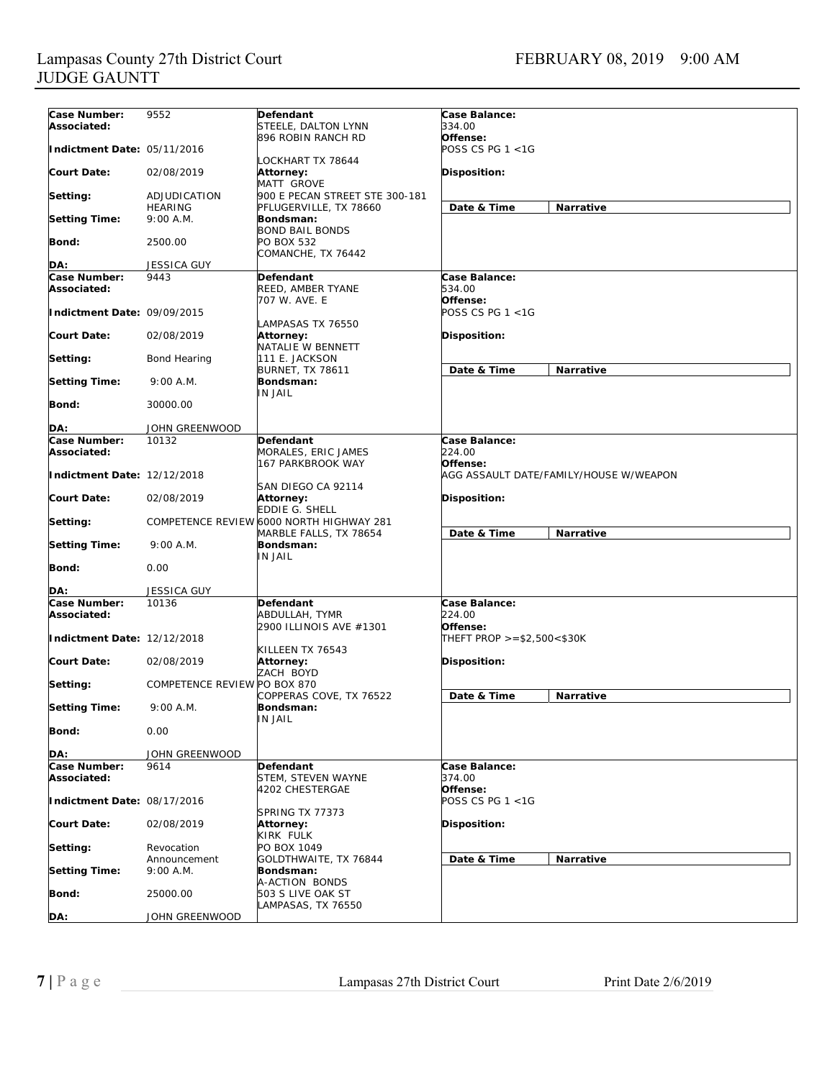| Case Number:                | 9552                         | Defendant                                | Case Balance:                          |
|-----------------------------|------------------------------|------------------------------------------|----------------------------------------|
| Associated:                 |                              | STEELE, DALTON LYNN                      | 334.00                                 |
|                             |                              | 896 ROBIN RANCH RD                       | Offense:                               |
| Indictment Date: 05/11/2016 |                              |                                          | POSS CS PG 1 <1G                       |
|                             |                              | OCKHART TX 78644-                        |                                        |
| <b>Court Date:</b>          | 02/08/2019                   | Attorney:                                | <b>Disposition:</b>                    |
|                             |                              | MATT GROVE                               |                                        |
| Setting:                    | ADJUDICATION                 | 900 E PECAN STREET STE 300-181           |                                        |
|                             | <b>HEARING</b>               | PFLUGERVILLE, TX 78660                   | Date & Time<br>Narrative               |
| <b>Setting Time:</b>        | 9:00 A.M.                    | Bondsman:                                |                                        |
|                             |                              | <b>BOND BAIL BONDS</b>                   |                                        |
| Bond:                       | 2500.00                      | PO BOX 532                               |                                        |
|                             |                              | COMANCHE, TX 76442                       |                                        |
|                             |                              |                                          |                                        |
| DA:                         | <b>JESSICA GUY</b>           |                                          |                                        |
| Case Number:                | 9443                         | Defendant                                | Case Balance:                          |
| Associated:                 |                              | REED, AMBER TYANE                        | 534.00                                 |
|                             |                              | 707 W. AVE. E                            | Offense:                               |
| Indictment Date: 09/09/2015 |                              |                                          | POSS CS PG 1 <1G                       |
|                             |                              | LAMPASAS TX 76550                        |                                        |
| <b>Court Date:</b>          | 02/08/2019                   | Attorney:                                | <b>Disposition:</b>                    |
|                             |                              | NATALIE W BENNETT                        |                                        |
| Setting:                    | Bond Hearing                 | 111 E. JACKSON                           |                                        |
|                             |                              | <b>BURNET, TX 78611</b>                  | Date & Time<br>Narrative               |
| <b>Setting Time:</b>        | 9:00 A.M.                    | Bondsman:                                |                                        |
|                             |                              | IN JAIL                                  |                                        |
| Bond:                       | 30000.00                     |                                          |                                        |
|                             |                              |                                          |                                        |
| DA:                         | JOHN GREENWOOD               |                                          |                                        |
| <b>Case Number:</b>         | 10132                        | Defendant                                | <b>Case Balance:</b>                   |
| Associated:                 |                              | MORALES, ERIC JAMES                      | 224.00                                 |
|                             |                              | 167 PARKBROOK WAY                        |                                        |
|                             |                              |                                          | Offense:                               |
| Indictment Date: 12/12/2018 |                              |                                          | AGG ASSAULT DATE/FAMILY/HOUSE W/WEAPON |
|                             |                              | SAN DIEGO CA 92114                       |                                        |
| <b>Court Date:</b>          | 02/08/2019                   | Attorney:                                | <b>Disposition:</b>                    |
|                             |                              | EDDIE G. SHELL                           |                                        |
| Setting:                    |                              | COMPETENCE REVIEW 6000 NORTH HIGHWAY 281 |                                        |
|                             |                              | MARBLE FALLS, TX 78654                   | Date & Time<br>Narrative               |
| <b>Setting Time:</b>        | 9:00 A.M.                    | Bondsman:                                |                                        |
|                             |                              | IN JAIL                                  |                                        |
| Bond:                       | 0.00                         |                                          |                                        |
|                             |                              |                                          |                                        |
| DA:                         | <b>JESSICA GUY</b>           |                                          |                                        |
| Case Number:                | 10136                        | Defendant                                | Case Balance:                          |
| Associated:                 |                              | ABDULLAH, TYMR                           | 224.00                                 |
|                             |                              | 2900 ILLINOIS AVE #1301                  | Offense:                               |
| Indictment Date: 12/12/2018 |                              |                                          | THEFT PROP >=\$2,500<\$30K             |
|                             |                              | KILLEEN TX 76543                         |                                        |
| <b>Court Date:</b>          | 02/08/2019                   | Attorney:                                | <b>Disposition:</b>                    |
|                             |                              | ZACH BOYD                                |                                        |
| Setting:                    | COMPETENCE REVIEW PO BOX 870 |                                          |                                        |
|                             |                              | COPPERAS COVE, TX 76522                  | Date & Time<br>Narrative               |
|                             | 9:00 A.M.                    |                                          |                                        |
| <b>Setting Time:</b>        |                              | Bondsman:<br>IN JAIL                     |                                        |
|                             |                              |                                          |                                        |
|                             |                              |                                          |                                        |
| Bond:                       | 0.00                         |                                          |                                        |
|                             |                              |                                          |                                        |
| DA:                         | JOHN GREENWOOD               |                                          |                                        |
| Case Number:                | 9614                         | Defendant                                | Case Balance:                          |
| Associated:                 |                              | STEM, STEVEN WAYNE                       | 374.00                                 |
|                             |                              | 4202 CHESTERGAE                          | Offense:                               |
| Indictment Date: 08/17/2016 |                              |                                          | POSS CS PG 1 <1G                       |
|                             |                              | SPRING TX 77373                          |                                        |
| <b>Court Date:</b>          | 02/08/2019                   | Attorney:                                | Disposition:                           |
|                             |                              | KIRK FULK                                |                                        |
| Setting:                    | Revocation                   | PO BOX 1049                              |                                        |
|                             | Announcement                 |                                          |                                        |
|                             | $9:00$ A.M.                  | GOLDTHWAITE, TX 76844                    | Date & Time<br>Narrative               |
| <b>Setting Time:</b>        |                              | Bondsman:                                |                                        |
|                             |                              | A-ACTION BONDS                           |                                        |
| Bond:                       | 25000.00                     | 503 S LIVE OAK ST                        |                                        |
| DA:                         | JOHN GREENWOOD               | LAMPASAS, TX 76550                       |                                        |